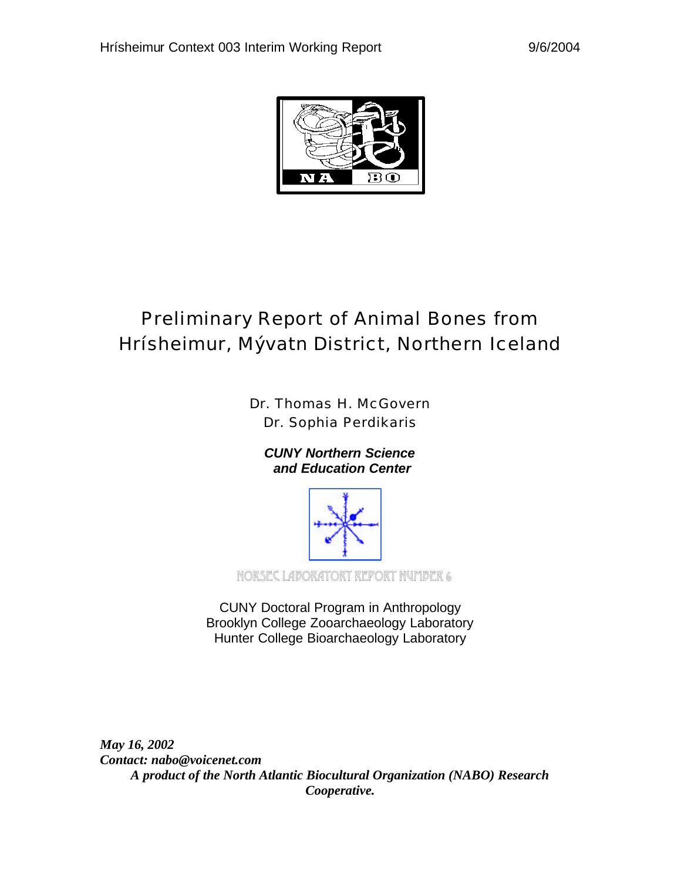

# Preliminary Report of Animal Bones from Hrísheimur, Mývatn District, Northern Iceland

Dr. Thomas H. McGovern Dr. Sophia Perdikaris

*CUNY Northern Science and Education Center*



NORSEC Laboratory Report Number 6

CUNY Doctoral Program in Anthropology Brooklyn College Zooarchaeology Laboratory Hunter College Bioarchaeology Laboratory

*May 16, 2002 Contact: nabo@voicenet.com A product of the North Atlantic Biocultural Organization (NABO) Research Cooperative.*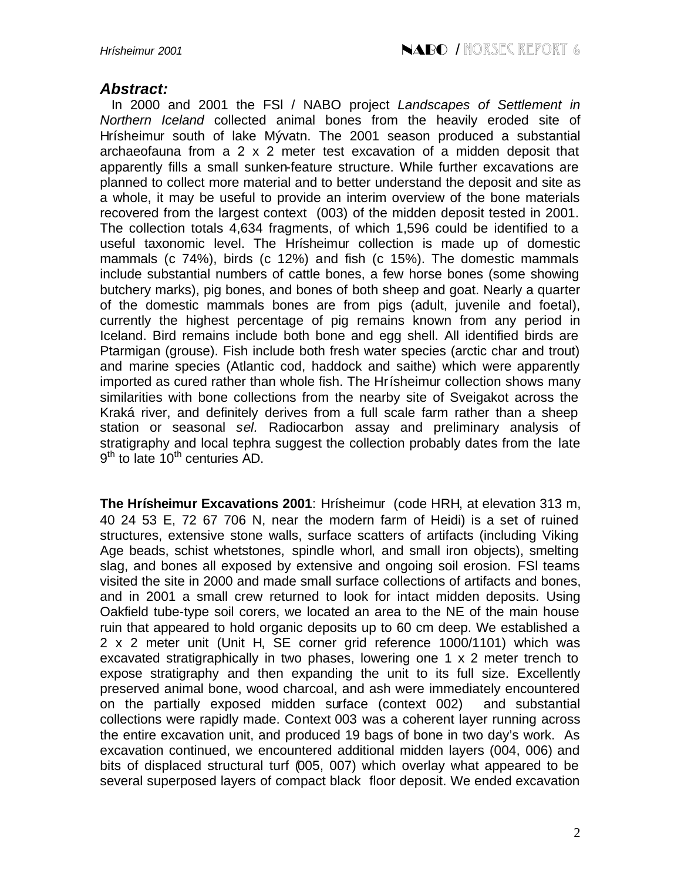## *Abstract:*

 In 2000 and 2001 the FSl / NABO project *Landscapes of Settlement in Northern Iceland* collected animal bones from the heavily eroded site of Hrísheimur south of lake Mývatn. The 2001 season produced a substantial archaeofauna from a 2 x 2 meter test excavation of a midden deposit that apparently fills a small sunken-feature structure. While further excavations are planned to collect more material and to better understand the deposit and site as a whole, it may be useful to provide an interim overview of the bone materials recovered from the largest context (003) of the midden deposit tested in 2001. The collection totals 4,634 fragments, of which 1,596 could be identified to a useful taxonomic level. The Hrísheimur collection is made up of domestic mammals (c 74%), birds (c 12%) and fish (c 15%). The domestic mammals include substantial numbers of cattle bones, a few horse bones (some showing butchery marks), pig bones, and bones of both sheep and goat. Nearly a quarter of the domestic mammals bones are from pigs (adult, juvenile and foetal), currently the highest percentage of pig remains known from any period in Iceland. Bird remains include both bone and egg shell. All identified birds are Ptarmigan (grouse). Fish include both fresh water species (arctic char and trout) and marine species (Atlantic cod, haddock and saithe) which were apparently imported as cured rather than whole fish. The Hrísheimur collection shows many similarities with bone collections from the nearby site of Sveigakot across the Kraká river, and definitely derives from a full scale farm rather than a sheep station or seasonal *sel.* Radiocarbon assay and preliminary analysis of stratigraphy and local tephra suggest the collection probably dates from the late 9<sup>th</sup> to late 10<sup>th</sup> centuries AD.

**The Hrísheimur Excavations 2001**: Hrísheimur (code HRH, at elevation 313 m, 40 24 53 E, 72 67 706 N, near the modern farm of Heidi) is a set of ruined structures, extensive stone walls, surface scatters of artifacts (including Viking Age beads, schist whetstones, spindle whorl, and small iron objects), smelting slag, and bones all exposed by extensive and ongoing soil erosion. FSl teams visited the site in 2000 and made small surface collections of artifacts and bones, and in 2001 a small crew returned to look for intact midden deposits. Using Oakfield tube-type soil corers, we located an area to the NE of the main house ruin that appeared to hold organic deposits up to 60 cm deep. We established a 2 x 2 meter unit (Unit H, SE corner grid reference 1000/1101) which was excavated stratigraphically in two phases, lowering one 1 x 2 meter trench to expose stratigraphy and then expanding the unit to its full size. Excellently preserved animal bone, wood charcoal, and ash were immediately encountered on the partially exposed midden surface (context 002) and substantial collections were rapidly made. Context 003 was a coherent layer running across the entire excavation unit, and produced 19 bags of bone in two day's work. As excavation continued, we encountered additional midden layers (004, 006) and bits of displaced structural turf (005, 007) which overlay what appeared to be several superposed layers of compact black floor deposit. We ended excavation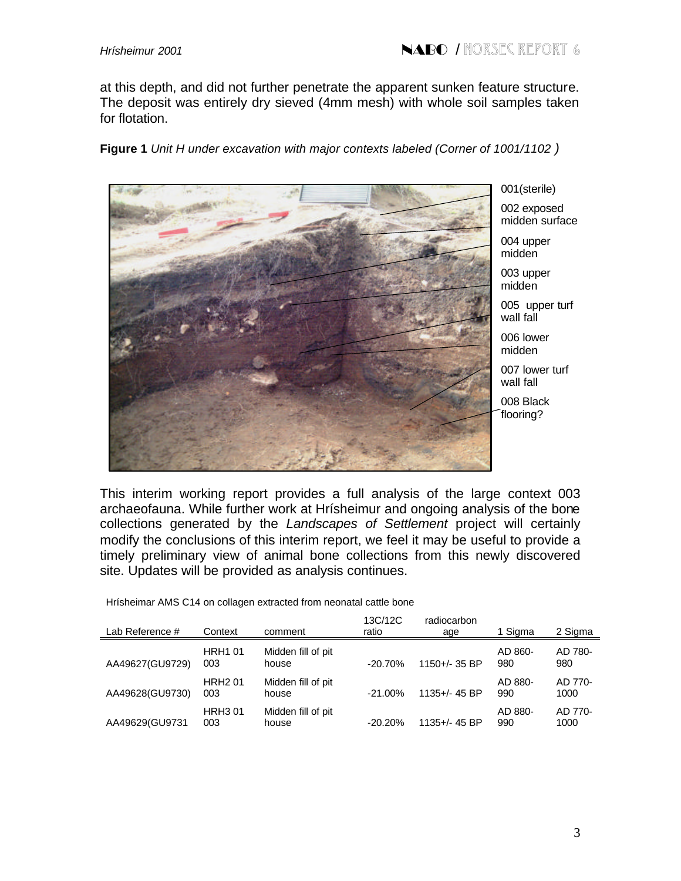at this depth, and did not further penetrate the apparent sunken feature structure. The deposit was entirely dry sieved (4mm mesh) with whole soil samples taken for flotation.

**Figure 1** *Unit H under excavation with major contexts labeled (Corner of 1001/1102 )*



001(sterile) 002 exposed midden surface 004 upper

midden

003 upper midden

005 upper turf wall fall

006 lower midden

007 lower turf wall fall

008 Black flooring?

This interim working report provides a full analysis of the large context 003 archaeofauna. While further work at Hrísheimur and ongoing analysis of the bone collections generated by the *Landscapes of Settlement* project will certainly modify the conclusions of this interim report, we feel it may be useful to provide a timely preliminary view of animal bone collections from this newly discovered site. Updates will be provided as analysis continues.

Hrísheimar AMS C14 on collagen extracted from neonatal cattle bone

| Lab Reference # | Context              | comment                     | 13C/12C<br>ratio | radiocarbon<br>age | 1 Sigma        | 2 Sigma         |
|-----------------|----------------------|-----------------------------|------------------|--------------------|----------------|-----------------|
| AA49627(GU9729) | <b>HRH101</b><br>003 | Midden fill of pit<br>house | $-20.70%$        | $1150 + 35$ BP     | AD 860-<br>980 | AD 780-<br>980  |
| AA49628(GU9730) | <b>HRH201</b><br>003 | Midden fill of pit<br>house | $-21.00\%$       | 1135+/- 45 BP      | AD 880-<br>990 | AD 770-<br>1000 |
| AA49629(GU9731  | <b>HRH301</b><br>003 | Midden fill of pit<br>house | $-20.20\%$       | $1135 + 45$ BP     | AD 880-<br>990 | AD 770-<br>1000 |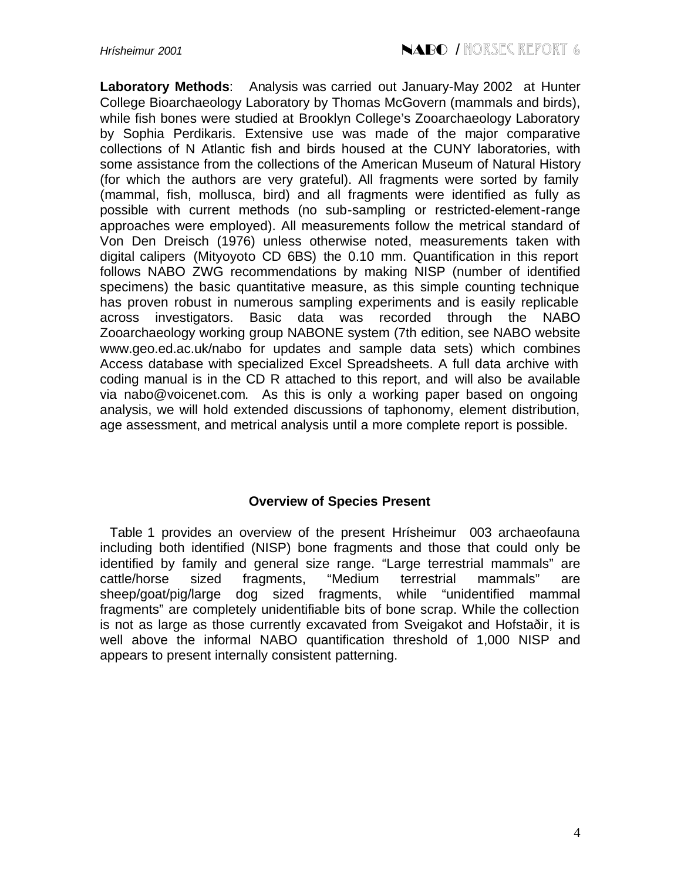**Laboratory Methods**: Analysis was carried out January-May 2002 at Hunter College Bioarchaeology Laboratory by Thomas McGovern (mammals and birds), while fish bones were studied at Brooklyn College's Zooarchaeology Laboratory by Sophia Perdikaris. Extensive use was made of the major comparative collections of N Atlantic fish and birds housed at the CUNY laboratories, with some assistance from the collections of the American Museum of Natural History (for which the authors are very grateful). All fragments were sorted by family (mammal, fish, mollusca, bird) and all fragments were identified as fully as possible with current methods (no sub-sampling or restricted-element-range approaches were employed). All measurements follow the metrical standard of Von Den Dreisch (1976) unless otherwise noted, measurements taken with digital calipers (Mityoyoto CD 6BS) the 0.10 mm. Quantification in this report follows NABO ZWG recommendations by making NISP (number of identified specimens) the basic quantitative measure, as this simple counting technique has proven robust in numerous sampling experiments and is easily replicable across investigators. Basic data was recorded through the NABO Zooarchaeology working group NABONE system (7th edition, see NABO website www.geo.ed.ac.uk/nabo for updates and sample data sets) which combines Access database with specialized Excel Spreadsheets. A full data archive with coding manual is in the CD R attached to this report, and will also be available via nabo@voicenet.com. As this is only a working paper based on ongoing analysis, we will hold extended discussions of taphonomy, element distribution, age assessment, and metrical analysis until a more complete report is possible.

### **Overview of Species Present**

 Table 1 provides an overview of the present Hrísheimur 003 archaeofauna including both identified (NISP) bone fragments and those that could only be identified by family and general size range. "Large terrestrial mammals" are cattle/horse sized fragments, "Medium terrestrial mammals" are sheep/goat/pig/large dog sized fragments, while "unidentified mammal fragments" are completely unidentifiable bits of bone scrap. While the collection is not as large as those currently excavated from Sveigakot and Hofstaðir, it is well above the informal NABO quantification threshold of 1,000 NISP and appears to present internally consistent patterning.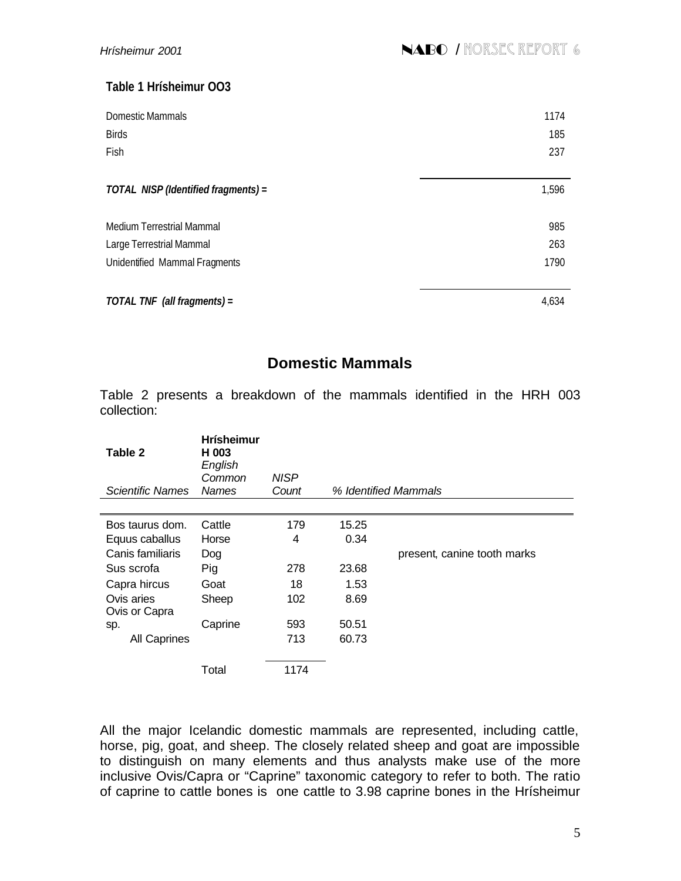## **Table 1 Hrísheimur OO3**

| Domestic Mammals<br><b>Birds</b>    | 1174<br>185 |
|-------------------------------------|-------------|
| Fish                                | 237         |
| TOTAL NISP (Identified fragments) = | 1,596       |
| Medium Terrestrial Mammal           | 985         |
| Large Terrestrial Mammal            | 263         |
| Unidentified Mammal Fragments       | 1790        |
|                                     |             |
| TOTAL TNF (all fragments) =         | 4,634       |

# **Domestic Mammals**

Table 2 presents a breakdown of the mammals identified in the HRH 003 collection:

| Table 2                     | <b>Hrísheimur</b><br>H 003<br>English<br>Common | <b>NISP</b> |       |                             |
|-----------------------------|-------------------------------------------------|-------------|-------|-----------------------------|
| Scientific Names            | <b>Names</b>                                    | Count       |       | % Identified Mammals        |
|                             |                                                 |             |       |                             |
| Bos taurus dom.             | Cattle                                          | 179         | 15.25 |                             |
| Equus caballus              | Horse                                           | 4           | 0.34  |                             |
| Canis familiaris            | Dog                                             |             |       | present, canine tooth marks |
| Sus scrofa                  | Pig                                             | 278         | 23.68 |                             |
| Capra hircus                | Goat                                            | 18          | 1.53  |                             |
| Ovis aries<br>Ovis or Capra | Sheep                                           | 102         | 8.69  |                             |
| sp.                         | Caprine                                         | 593         | 50.51 |                             |
| All Caprines                |                                                 | 713         | 60.73 |                             |
|                             | Total                                           | 1174        |       |                             |

All the major Icelandic domestic mammals are represented, including cattle, horse, pig, goat, and sheep. The closely related sheep and goat are impossible to distinguish on many elements and thus analysts make use of the more inclusive Ovis/Capra or "Caprine" taxonomic category to refer to both. The ratio of caprine to cattle bones is one cattle to 3.98 caprine bones in the Hrísheimur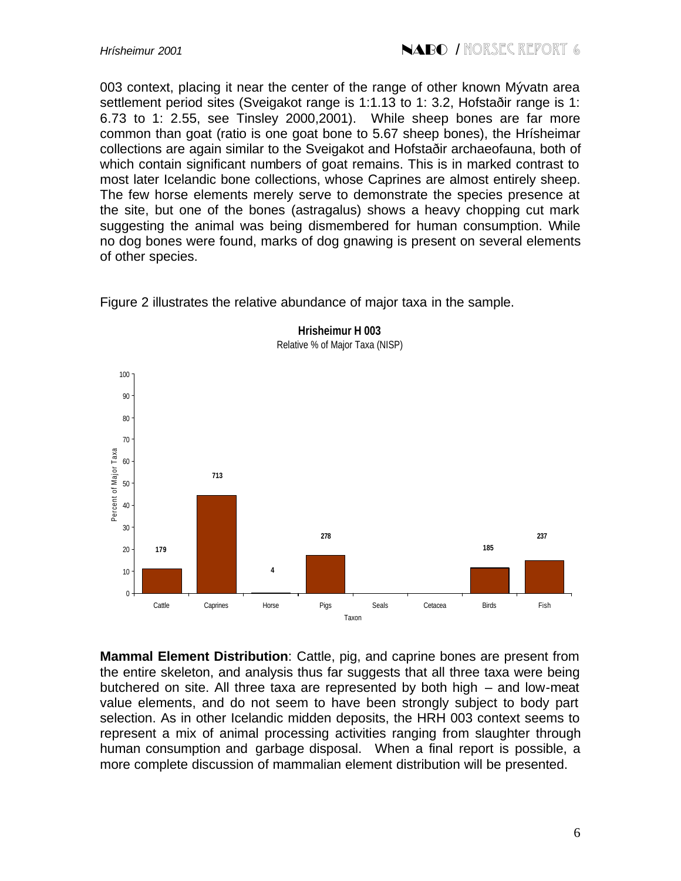003 context, placing it near the center of the range of other known Mývatn area settlement period sites (Sveigakot range is 1:1.13 to 1: 3.2, Hofstaðir range is 1: 6.73 to 1: 2.55, see Tinsley 2000,2001). While sheep bones are far more common than goat (ratio is one goat bone to 5.67 sheep bones), the Hrísheimar collections are again similar to the Sveigakot and Hofstaðir archaeofauna, both of which contain significant numbers of goat remains. This is in marked contrast to most later Icelandic bone collections, whose Caprines are almost entirely sheep. The few horse elements merely serve to demonstrate the species presence at the site, but one of the bones (astragalus) shows a heavy chopping cut mark suggesting the animal was being dismembered for human consumption. While no dog bones were found, marks of dog gnawing is present on several elements of other species.

Relative % of Major Taxa (NISP)  $100 -$ 90 80 70 Percent of Major Taxa Percent of Major Taxa 60 **713** 50 40 30 **278 237 185** 20 **179 4** 10  $\theta$ Cattle Caprines Horse Pigs Seals Cetacea Birds Fish Taxon

**Hrisheimur H 003**

Figure 2 illustrates the relative abundance of major taxa in the sample.

**Mammal Element Distribution**: Cattle, pig, and caprine bones are present from the entire skeleton, and analysis thus far suggests that all three taxa were being butchered on site. All three taxa are represented by both high – and low-meat value elements, and do not seem to have been strongly subject to body part selection. As in other Icelandic midden deposits, the HRH 003 context seems to represent a mix of animal processing activities ranging from slaughter through human consumption and garbage disposal. When a final report is possible, a more complete discussion of mammalian element distribution will be presented.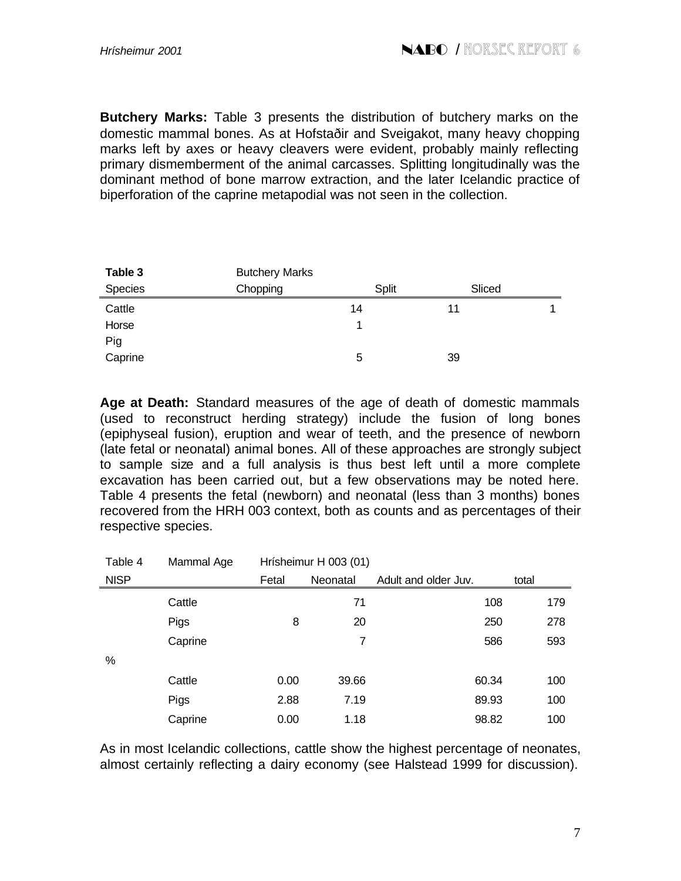**Butchery Marks:** Table 3 presents the distribution of butchery marks on the domestic mammal bones. As at Hofstaðir and Sveigakot, many heavy chopping marks left by axes or heavy cleavers were evident, probably mainly reflecting primary dismemberment of the animal carcasses. Splitting longitudinally was the dominant method of bone marrow extraction, and the later Icelandic practice of biperforation of the caprine metapodial was not seen in the collection.

| Table 3 | <b>Butchery Marks</b> |              |        |  |
|---------|-----------------------|--------------|--------|--|
| Species | Chopping              | <b>Split</b> | Sliced |  |
| Cattle  |                       | 14           | 11     |  |
| Horse   |                       |              |        |  |
| Pig     |                       |              |        |  |
| Caprine |                       | 5            | 39     |  |

**Age at Death:** Standard measures of the age of death of domestic mammals (used to reconstruct herding strategy) include the fusion of long bones (epiphyseal fusion), eruption and wear of teeth, and the presence of newborn (late fetal or neonatal) animal bones. All of these approaches are strongly subject to sample size and a full analysis is thus best left until a more complete excavation has been carried out, but a few observations may be noted here. Table 4 presents the fetal (newborn) and neonatal (less than 3 months) bones recovered from the HRH 003 context, both as counts and as percentages of their respective species.

| Table 4     | Mammal Age | Hrísheimur H 003 (01) |          |                      |       |
|-------------|------------|-----------------------|----------|----------------------|-------|
| <b>NISP</b> |            | Fetal                 | Neonatal | Adult and older Juv. | total |
|             | Cattle     |                       | 71       | 108                  | 179   |
|             | Pigs       | 8                     | 20       | 250                  | 278   |
|             | Caprine    |                       | 7        | 586                  | 593   |
| %           |            |                       |          |                      |       |
|             | Cattle     | 0.00                  | 39.66    | 60.34                | 100   |
|             | Pigs       | 2.88                  | 7.19     | 89.93                | 100   |
|             | Caprine    | 0.00                  | 1.18     | 98.82                | 100   |

As in most Icelandic collections, cattle show the highest percentage of neonates, almost certainly reflecting a dairy economy (see Halstead 1999 for discussion).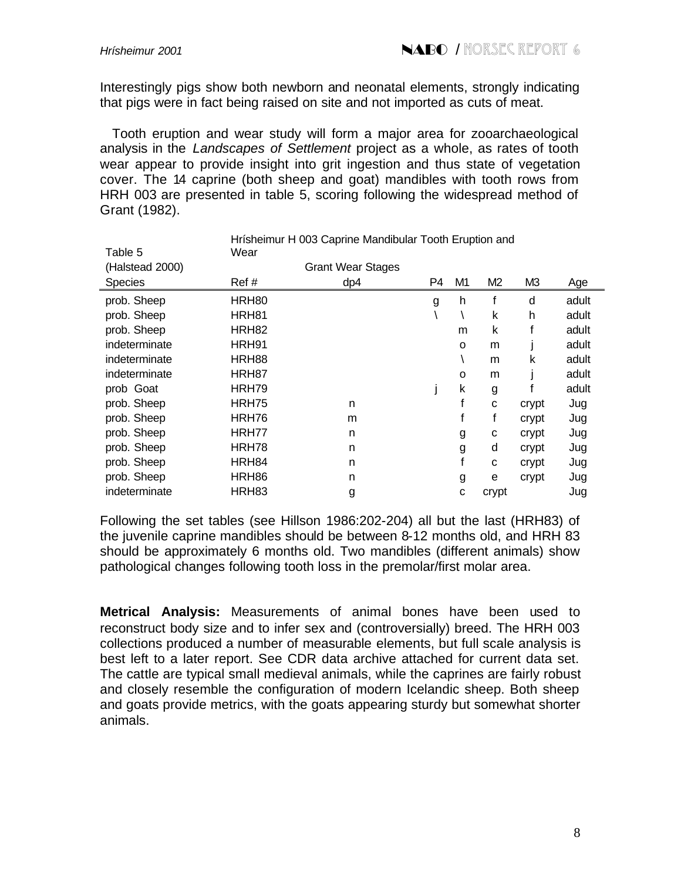Interestingly pigs show both newborn and neonatal elements, strongly indicating that pigs were in fact being raised on site and not imported as cuts of meat.

 Tooth eruption and wear study will form a major area for zooarchaeological analysis in the *Landscapes of Settlement* project as a whole, as rates of tooth wear appear to provide insight into grit ingestion and thus state of vegetation cover. The 14 caprine (both sheep and goat) mandibles with tooth rows from HRH 003 are presented in table 5, scoring following the widespread method of Grant (1982).

| Table 5         | Wear  | Hrísheimur H 003 Caprine Mandibular Tooth Eruption and |                |          |                |       |       |
|-----------------|-------|--------------------------------------------------------|----------------|----------|----------------|-------|-------|
| (Halstead 2000) |       | <b>Grant Wear Stages</b>                               |                |          |                |       |       |
| Species         | Ref # | dp4                                                    | P <sub>4</sub> | M1       | M <sub>2</sub> | M3    | Age   |
| prob. Sheep     | HRH80 |                                                        | g              | h        |                | d     | adult |
| prob. Sheep     | HRH81 |                                                        |                |          | k              | h     | adult |
| prob. Sheep     | HRH82 |                                                        |                | m        | k              |       | adult |
| indeterminate   | HRH91 |                                                        |                | O        | m              |       | adult |
| indeterminate   | HRH88 |                                                        |                |          | m              | k     | adult |
| indeterminate   | HRH87 |                                                        |                | $\Omega$ | m              |       | adult |
| prob Goat       | HRH79 |                                                        |                | k        | g              |       | adult |
| prob. Sheep     | HRH75 | n                                                      |                |          | C              | crypt | Jug   |
| prob. Sheep     | HRH76 | m                                                      |                |          | f              | crypt | Jug   |
| prob. Sheep     | HRH77 | n                                                      |                | g        | с              | crypt | Jug   |
| prob. Sheep     | HRH78 | n                                                      |                | g        | d              | crypt | Jug   |
| prob. Sheep     | HRH84 | n                                                      |                |          | C              | crypt | Jug   |
| prob. Sheep     | HRH86 | n                                                      |                | g        | e              | crypt | Jug   |
| indeterminate   | HRH83 | g                                                      |                | C        | crypt          |       | Jug   |

Following the set tables (see Hillson 1986:202-204) all but the last (HRH83) of the juvenile caprine mandibles should be between 8-12 months old, and HRH 83 should be approximately 6 months old. Two mandibles (different animals) show pathological changes following tooth loss in the premolar/first molar area.

**Metrical Analysis:** Measurements of animal bones have been used to reconstruct body size and to infer sex and (controversially) breed. The HRH 003 collections produced a number of measurable elements, but full scale analysis is best left to a later report. See CDR data archive attached for current data set. The cattle are typical small medieval animals, while the caprines are fairly robust and closely resemble the configuration of modern Icelandic sheep. Both sheep and goats provide metrics, with the goats appearing sturdy but somewhat shorter animals.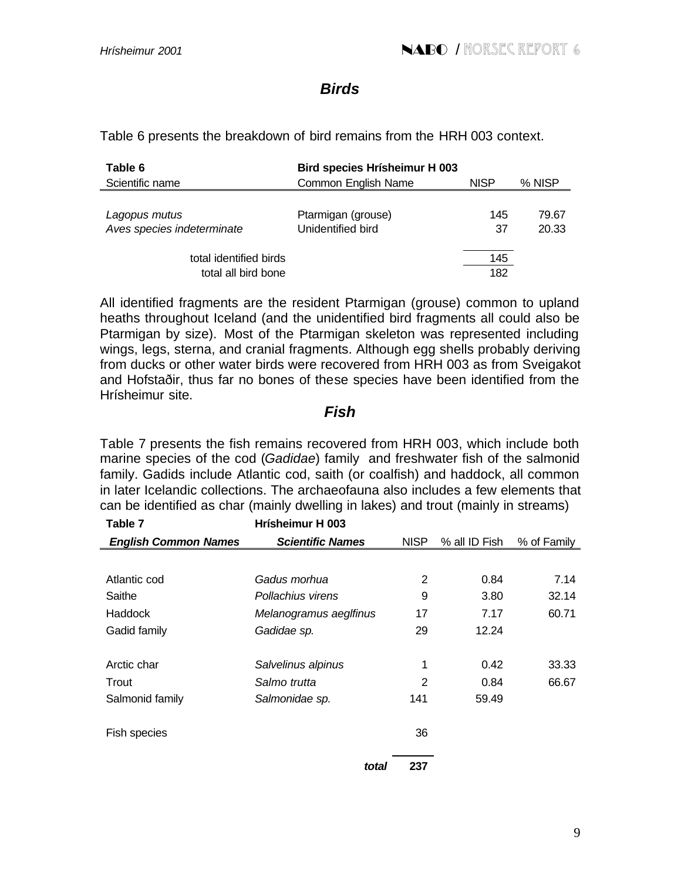## *Birds*

Table 6 presents the breakdown of bird remains from the HRH 003 context.

| Table 6                    | <b>Bird species Hrísheimur H 003</b> |             |        |
|----------------------------|--------------------------------------|-------------|--------|
| Scientific name            | Common English Name                  | <b>NISP</b> | % NISP |
|                            |                                      |             |        |
| Lagopus mutus              | Ptarmigan (grouse)                   | 145         | 79.67  |
| Aves species indeterminate | Unidentified bird                    | 37          | 20.33  |
|                            |                                      |             |        |
| total identified birds     |                                      | 145         |        |
| total all bird bone        |                                      | 182         |        |

All identified fragments are the resident Ptarmigan (grouse) common to upland heaths throughout Iceland (and the unidentified bird fragments all could also be Ptarmigan by size). Most of the Ptarmigan skeleton was represented including wings, legs, sterna, and cranial fragments. Although egg shells probably deriving from ducks or other water birds were recovered from HRH 003 as from Sveigakot and Hofstaðir, thus far no bones of these species have been identified from the Hrísheimur site.

## *Fish*

Table 7 presents the fish remains recovered from HRH 003, which include both marine species of the cod (*Gadidae*) family and freshwater fish of the salmonid family. Gadids include Atlantic cod, saith (or coalfish) and haddock, all common in later Icelandic collections. The archaeofauna also includes a few elements that can be identified as char (mainly dwelling in lakes) and trout (mainly in streams)

| Table 7                     | Hrísheimur H 003        |             |               |             |
|-----------------------------|-------------------------|-------------|---------------|-------------|
| <b>English Common Names</b> | <b>Scientific Names</b> | <b>NISP</b> | % all ID Fish | % of Family |
|                             |                         |             |               |             |
| Atlantic cod                | Gadus morhua            | 2           | 0.84          | 7.14        |
| Saithe                      | Pollachius virens       | 9           | 3.80          | 32.14       |
| Haddock                     | Melanogramus aeglfinus  | 17          | 7.17          | 60.71       |
| Gadid family                | Gadidae sp.             | 29          | 12.24         |             |
|                             |                         |             |               |             |
| Arctic char                 | Salvelinus alpinus      | 1           | 0.42          | 33.33       |
| Trout                       | Salmo trutta            | 2           | 0.84          | 66.67       |
| Salmonid family             | Salmonidae sp.          | 141         | 59.49         |             |
| Fish species                |                         | 36          |               |             |
|                             | total                   | 237         |               |             |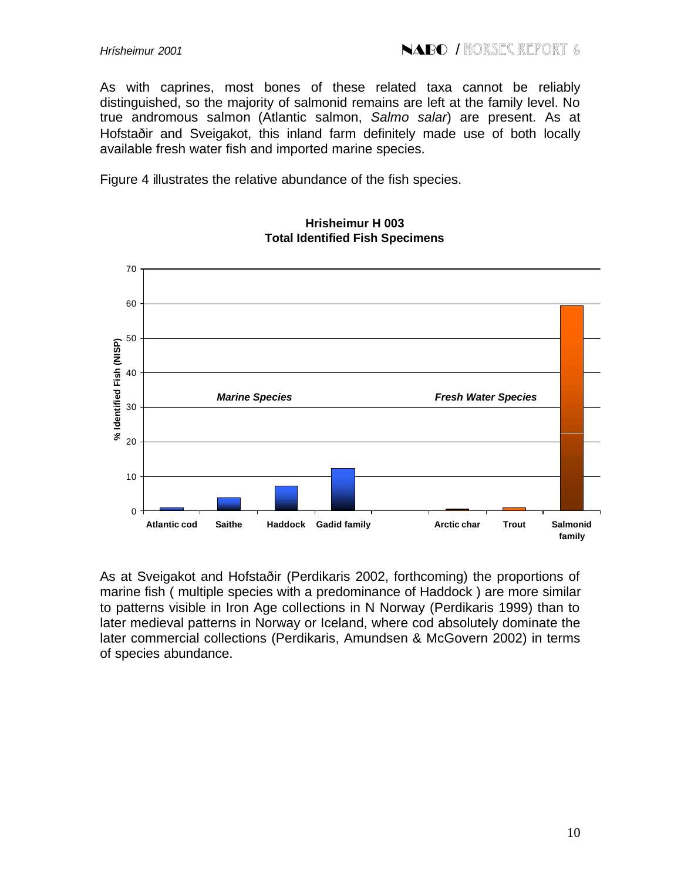As with caprines, most bones of these related taxa cannot be reliably distinguished, so the majority of salmonid remains are left at the family level. No true andromous salmon (Atlantic salmon, *Salmo salar*) are present. As at Hofstaðir and Sveigakot, this inland farm definitely made use of both locally available fresh water fish and imported marine species.

Figure 4 illustrates the relative abundance of the fish species.



#### **Hrisheimur H 003 Total Identified Fish Specimens**

As at Sveigakot and Hofstaðir (Perdikaris 2002, forthcoming) the proportions of marine fish ( multiple species with a predominance of Haddock ) are more similar to patterns visible in Iron Age collections in N Norway (Perdikaris 1999) than to later medieval patterns in Norway or Iceland, where cod absolutely dominate the later commercial collections (Perdikaris, Amundsen & McGovern 2002) in terms of species abundance.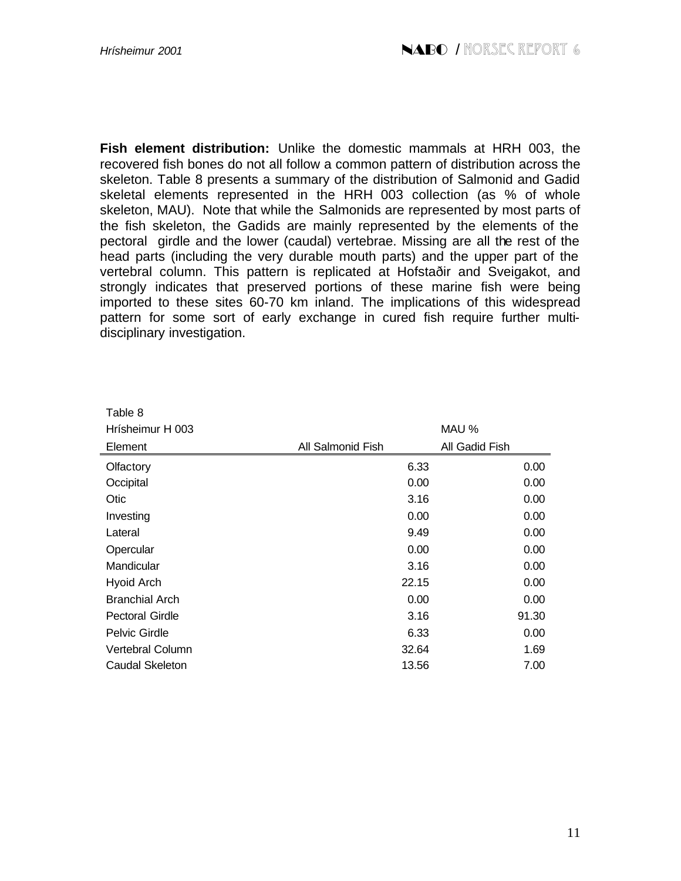**Fish element distribution:** Unlike the domestic mammals at HRH 003, the recovered fish bones do not all follow a common pattern of distribution across the skeleton. Table 8 presents a summary of the distribution of Salmonid and Gadid skeletal elements represented in the HRH 003 collection (as % of whole skeleton, MAU). Note that while the Salmonids are represented by most parts of the fish skeleton, the Gadids are mainly represented by the elements of the pectoral girdle and the lower (caudal) vertebrae. Missing are all the rest of the head parts (including the very durable mouth parts) and the upper part of the vertebral column. This pattern is replicated at Hofstaðir and Sveigakot, and strongly indicates that preserved portions of these marine fish were being imported to these sites 60-70 km inland. The implications of this widespread pattern for some sort of early exchange in cured fish require further multidisciplinary investigation.

| Table 8                |                   |                |
|------------------------|-------------------|----------------|
| Hrísheimur H 003       |                   | MAU %          |
| Element                | All Salmonid Fish | All Gadid Fish |
| Olfactory              | 6.33              | 0.00           |
| Occipital              | 0.00              | 0.00           |
| Otic                   | 3.16              | 0.00           |
| Investing              | 0.00              | 0.00           |
| Lateral                | 9.49              | 0.00           |
| Opercular              | 0.00              | 0.00           |
| Mandicular             | 3.16              | 0.00           |
| <b>Hyoid Arch</b>      | 22.15             | 0.00           |
| <b>Branchial Arch</b>  | 0.00              | 0.00           |
| <b>Pectoral Girdle</b> | 3.16              | 91.30          |
| Pelvic Girdle          | 6.33              | 0.00           |
| Vertebral Column       | 32.64             | 1.69           |
| Caudal Skeleton        | 13.56             | 7.00           |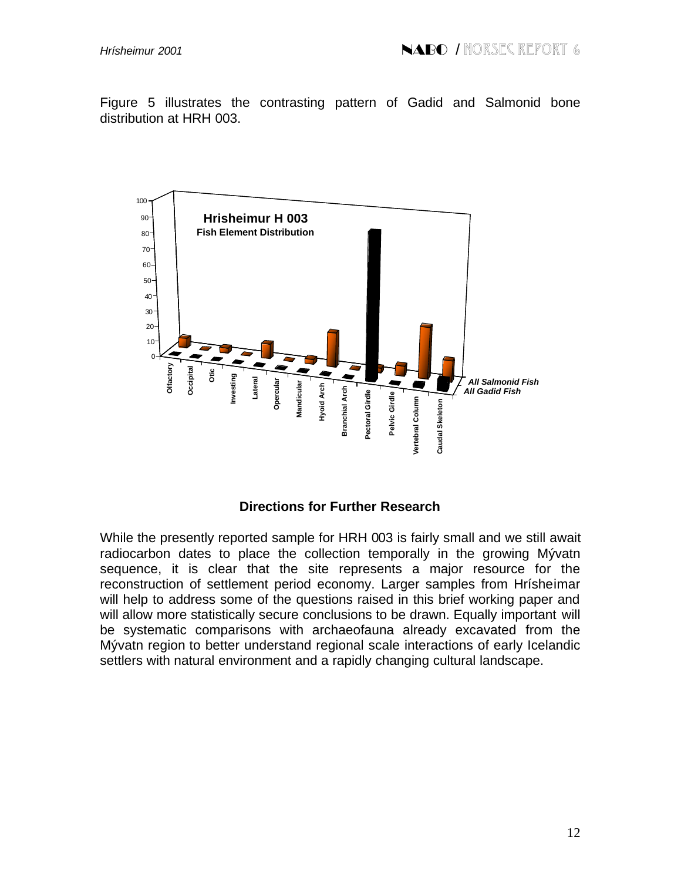Figure 5 illustrates the contrasting pattern of Gadid and Salmonid bone distribution at HRH 003.



### **Directions for Further Research**

While the presently reported sample for HRH 003 is fairly small and we still await radiocarbon dates to place the collection temporally in the growing Mývatn sequence, it is clear that the site represents a major resource for the reconstruction of settlement period economy. Larger samples from Hrísheimar will help to address some of the questions raised in this brief working paper and will allow more statistically secure conclusions to be drawn. Equally important will be systematic comparisons with archaeofauna already excavated from the Mývatn region to better understand regional scale interactions of early Icelandic settlers with natural environment and a rapidly changing cultural landscape.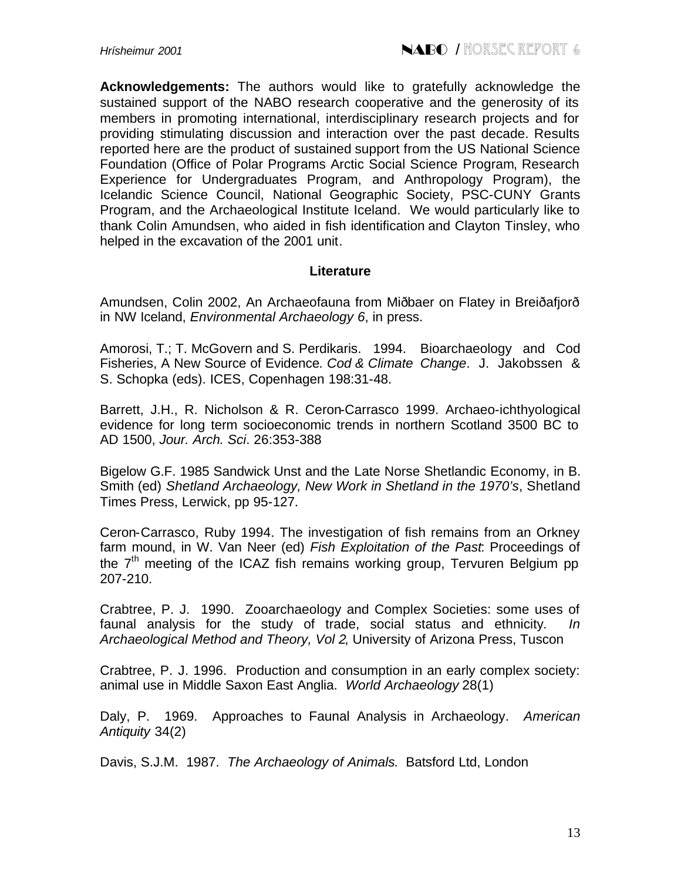**Acknowledgements:** The authors would like to gratefully acknowledge the sustained support of the NABO research cooperative and the generosity of its members in promoting international, interdisciplinary research projects and for providing stimulating discussion and interaction over the past decade. Results reported here are the product of sustained support from the US National Science Foundation (Office of Polar Programs Arctic Social Science Program, Research Experience for Undergraduates Program, and Anthropology Program), the Icelandic Science Council, National Geographic Society, PSC-CUNY Grants Program, and the Archaeological Institute Iceland. We would particularly like to thank Colin Amundsen, who aided in fish identification and Clayton Tinsley, who helped in the excavation of the 2001 unit.

#### **Literature**

Amundsen, Colin 2002, An Archaeofauna from Miðbaer on Flatey in Breiðafjorð in NW Iceland, *Environmental Archaeology 6*, in press.

Amorosi, T.; T. McGovern and S. Perdikaris. 1994. Bioarchaeology and Cod Fisheries, A New Source of Evidence*. Cod & Climate Change*. J. Jakobssen & S. Schopka (eds). ICES, Copenhagen 198:31-48.

Barrett, J.H., R. Nicholson & R. Ceron-Carrasco 1999. Archaeo-ichthyological evidence for long term socioeconomic trends in northern Scotland 3500 BC to AD 1500, *Jour. Arch. Sci*. 26:353-388

Bigelow G.F. 1985 Sandwick Unst and the Late Norse Shetlandic Economy, in B. Smith (ed) *Shetland Archaeology, New Work in Shetland in the 1970's*, Shetland Times Press, Lerwick, pp 95-127.

Ceron-Carrasco, Ruby 1994. The investigation of fish remains from an Orkney farm mound, in W. Van Neer (ed) *Fish Exploitation of the Past*: Proceedings of the  $7<sup>th</sup>$  meeting of the ICAZ fish remains working group, Tervuren Belgium pp 207-210.

Crabtree, P. J. 1990. Zooarchaeology and Complex Societies: some uses of faunal analysis for the study of trade, social status and ethnicity*. In Archaeological Method and Theory, Vol 2*, University of Arizona Press, Tuscon

Crabtree, P. J. 1996. Production and consumption in an early complex society: animal use in Middle Saxon East Anglia. *World Archaeology* 28(1)

Daly, P. 1969. Approaches to Faunal Analysis in Archaeology. *American Antiquity* 34(2)

Davis, S.J.M. 1987. *The Archaeology of Animals*. Batsford Ltd, London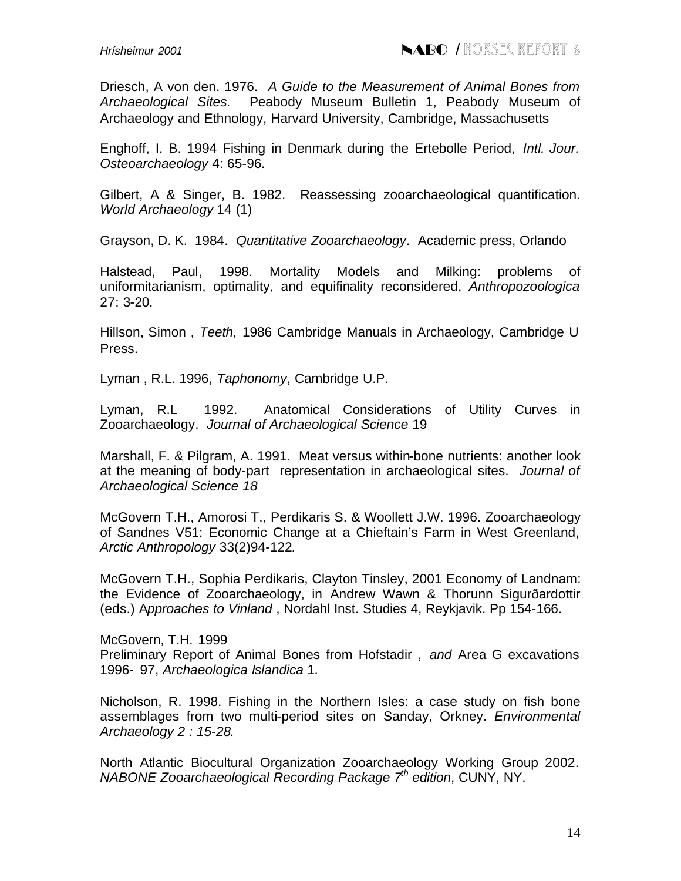Driesch, A von den. 1976. *A Guide to the Measurement of Animal Bones from Archaeological Sites.* Peabody Museum Bulletin 1, Peabody Museum of Archaeology and Ethnology, Harvard University, Cambridge, Massachusetts

Enghoff, I. B. 1994 Fishing in Denmark during the Ertebolle Period, *Intl. Jour. Osteoarchaeology* 4: 65-96.

Gilbert, A & Singer, B. 1982. Reassessing zooarchaeological quantification. *World Archaeology* 14 (1)

Grayson, D. K. 1984. *Quantitative Zooarchaeology*. Academic press, Orlando

Halstead, Paul, 1998. Mortality Models and Milking: problems of uniformitarianism, optimality, and equifinality reconsidered, *Anthropozoologica* 27: 3-20.

Hillson, Simon , *Teeth,* 1986 Cambridge Manuals in Archaeology, Cambridge U Press.

Lyman , R.L. 1996, *Taphonomy*, Cambridge U.P.

Lyman, R.L 1992. Anatomical Considerations of Utility Curves in Zooarchaeology. *Journal of Archaeological Science* 19

Marshall, F. & Pilgram, A. 1991. Meat versus within-bone nutrients: another look at the meaning of body-part representation in archaeological sites. *Journal of Archaeological Science 18*

McGovern T.H., Amorosi T., Perdikaris S. & Woollett J.W. 1996. Zooarchaeology of Sandnes V51: Economic Change at a Chieftain's Farm in West Greenland, *Arctic Anthropology* 33(2)94-122*.*

McGovern T.H., Sophia Perdikaris, Clayton Tinsley, 2001 Economy of Landnam: the Evidence of Zooarchaeology, in Andrew Wawn & Thorunn Sigurðardottir (eds.) A*pproaches to Vinland* , Nordahl Inst. Studies 4, Reykjavik. Pp 154-166.

McGovern, T.H. 1999 Preliminary Report of Animal Bones from Hofstadir , *and* Area G excavations 1996- 97, *Archaeologica Islandica* 1.

Nicholson, R. 1998. Fishing in the Northern Isles: a case study on fish bone assemblages from two multi-period sites on Sanday, Orkney. *Environmental Archaeology 2 : 15-28.*

North Atlantic Biocultural Organization Zooarchaeology Working Group 2002. *NABONE Zooarchaeological Recording Package 7th edition*, CUNY, NY.